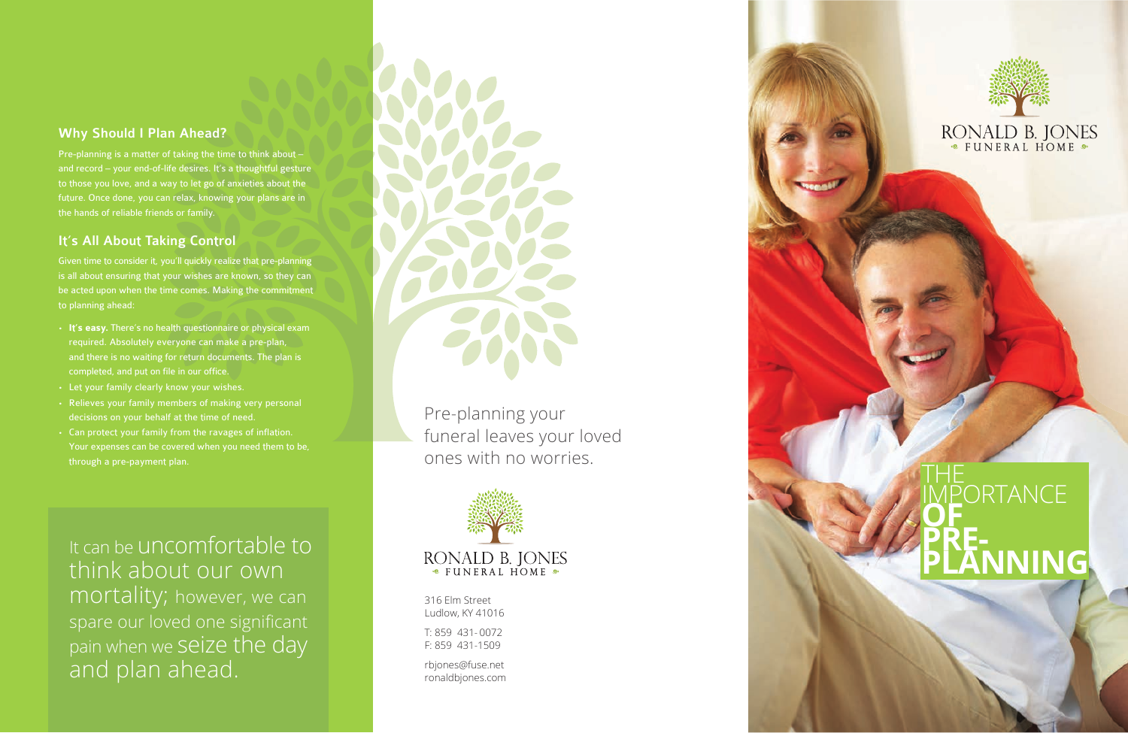# THE **IMPORTANCE OF PRE-PLANNING**

316 Elm Street Ludlow, KY 41016

T: 859 431- 0072 F: 859 431-1509

rbjones@fuse.net ronaldbjones.com



# RONALD B. JONES

Pre-planning your funeral leaves your loved ones with no worries.



### Why Should I Plan Ahead?

Pre-planning is a matter of taking the time to think about – and record - your end-of-life desires. It's a thoughtful gesture to those you love, and a way to let go of anxieties about the future. Once done, you can relax, knowing your plans are in the hands of reliable friends or family.

## It's All About Taking Control

Given time to consider it, you'll quickly realize that pre-plannin g is all about ensuring that your wishes are known, so they can be acted upon when the time comes. Making the commitment to planning ahead:

- **. It's easy.** There's no health questionnaire or physical exam required. Absolutely everyone can make a pre-plan, and there is no waiting for return documents. The plan is completed, and put on file in our office.
- **.** Let your family clearly know your wishes.
- **.** Relieves your family members of making very personal
- decisions on your behalf at the time of need.<br>**•** Can protect your family from the ravages of inflation.<br>Your expenses can be covered when you need them to be, through a pre-payment plan.

It can be uncomfortable to think about our own mortality; however, we can spare our loved one significant pain when we seize the day and plan ahead.